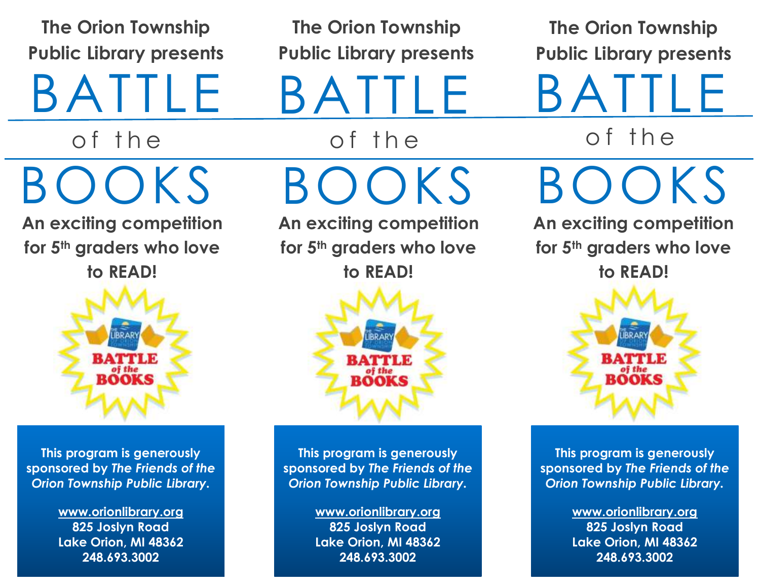**The Orion Township Public Library presents**

BATTLE

of the

BOOKS

**An exciting competition for 5th graders who love to READ!**



**This program is generously sponsored by** *The Friends of the Orion Township Public Library.*

> **[www.orionlibrary.org](http://www.orionlibrary.org/) 825 Joslyn Road Lake Orion, MI 48362 248.693.3002**

**The Orion Township Public Library presents**

BATTLE

of the BOOKS

**An exciting competition for 5th graders who love to READ!**



**This program is generously sponsored by** *The Friends of the Orion Township Public Library.*

> **[www.orionlibrary.org](http://www.orionlibrary.org/) 825 Joslyn Road Lake Orion, MI 48362 248.693.3002**

**The Orion Township Public Library presents**

**BATTLE** of the

BOOKS

**An exciting competition for 5th graders who love to READ!**



**This program is generously sponsored by** *The Friends of the Orion Township Public Library.*

> **[www.orionlibrary.org](http://www.orionlibrary.org/) 825 Joslyn Road Lake Orion, MI 48362 248.693.3002**